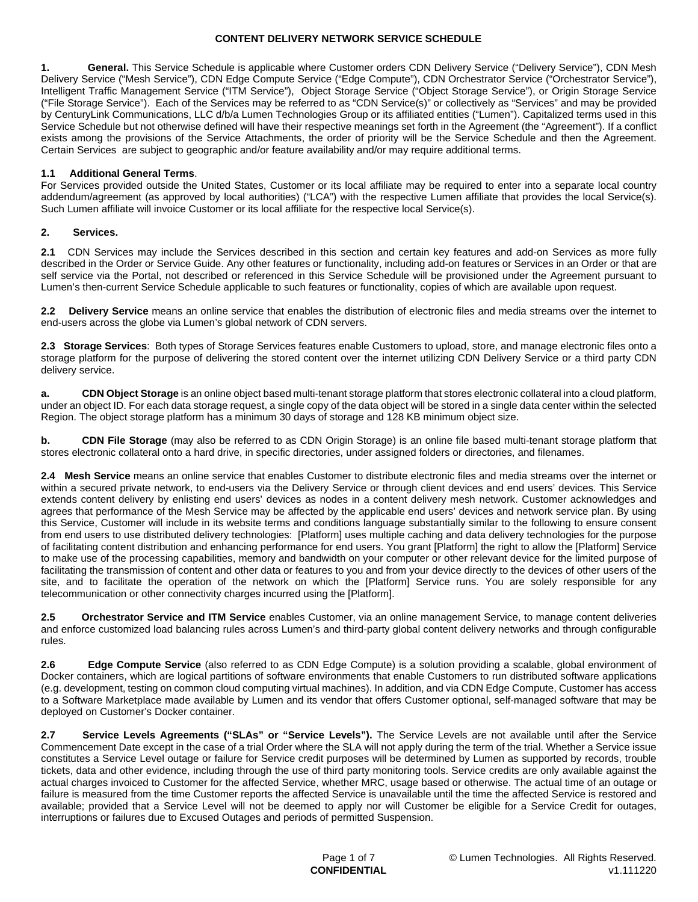**1. General.** This Service Schedule is applicable where Customer orders CDN Delivery Service ("Delivery Service"), CDN Mesh Delivery Service ("Mesh Service"), CDN Edge Compute Service ("Edge Compute"), CDN Orchestrator Service ("Orchestrator Service"), Intelligent Traffic Management Service ("ITM Service"), Object Storage Service ("Object Storage Service"), or Origin Storage Service ("File Storage Service"). Each of the Services may be referred to as "CDN Service(s)" or collectively as "Services" and may be provided by CenturyLink Communications, LLC d/b/a Lumen Technologies Group or its affiliated entities ("Lumen"). Capitalized terms used in this Service Schedule but not otherwise defined will have their respective meanings set forth in the Agreement (the "Agreement"). If a conflict exists among the provisions of the Service Attachments, the order of priority will be the Service Schedule and then the Agreement. Certain Services are subject to geographic and/or feature availability and/or may require additional terms.

### **1.1 Additional General Terms**.

For Services provided outside the United States, Customer or its local affiliate may be required to enter into a separate local country addendum/agreement (as approved by local authorities) ("LCA") with the respective Lumen affiliate that provides the local Service(s). Such Lumen affiliate will invoice Customer or its local affiliate for the respective local Service(s).

#### **2. Services.**

**2.1** CDN Services may include the Services described in this section and certain key features and add-on Services as more fully described in the Order or Service Guide. Any other features or functionality, including add-on features or Services in an Order or that are self service via the Portal, not described or referenced in this Service Schedule will be provisioned under the Agreement pursuant to Lumen's then-current Service Schedule applicable to such features or functionality, copies of which are available upon request.

**2.2 Delivery Service** means an online service that enables the distribution of electronic files and media streams over the internet to end-users across the globe via Lumen's global network of CDN servers.

**2.3 Storage Services**: Both types of Storage Services features enable Customers to upload, store, and manage electronic files onto a storage platform for the purpose of delivering the stored content over the internet utilizing CDN Delivery Service or a third party CDN delivery service.

**a. CDN Object Storage** is an online object based multi-tenant storage platform that stores electronic collateral into a cloud platform, under an object ID. For each data storage request, a single copy of the data object will be stored in a single data center within the selected Region. The object storage platform has a minimum 30 days of storage and 128 KB minimum object size.

**b. CDN File Storage** (may also be referred to as CDN Origin Storage) is an online file based multi-tenant storage platform that stores electronic collateral onto a hard drive, in specific directories, under assigned folders or directories, and filenames.

**2.4 Mesh Service** means an online service that enables Customer to distribute electronic files and media streams over the internet or within a secured private network, to end-users via the Delivery Service or through client devices and end users' devices. This Service extends content delivery by enlisting end users' devices as nodes in a content delivery mesh network. Customer acknowledges and agrees that performance of the Mesh Service may be affected by the applicable end users' devices and network service plan. By using this Service, Customer will include in its website terms and conditions language substantially similar to the following to ensure consent from end users to use distributed delivery technologies: [Platform] uses multiple caching and data delivery technologies for the purpose of facilitating content distribution and enhancing performance for end users. You grant [Platform] the right to allow the [Platform] Service to make use of the processing capabilities, memory and bandwidth on your computer or other relevant device for the limited purpose of facilitating the transmission of content and other data or features to you and from your device directly to the devices of other users of the site, and to facilitate the operation of the network on which the [Platform] Service runs. You are solely responsible for any telecommunication or other connectivity charges incurred using the [Platform].

**2.5 Orchestrator Service and ITM Service** enables Customer, via an online management Service, to manage content deliveries and enforce customized load balancing rules across Lumen's and third-party global content delivery networks and through configurable rules.

**2.6 Edge Compute Service** (also referred to as CDN Edge Compute) is a solution providing a scalable, global environment of Docker containers, which are logical partitions of software environments that enable Customers to run distributed software applications (e.g. development, testing on common cloud computing virtual machines). In addition, and via CDN Edge Compute, Customer has access to a Software Marketplace made available by Lumen and its vendor that offers Customer optional, self-managed software that may be deployed on Customer's Docker container.

**2.7 Service Levels Agreements ("SLAs" or "Service Levels").** The Service Levels are not available until after the Service Commencement Date except in the case of a trial Order where the SLA will not apply during the term of the trial. Whether a Service issue constitutes a Service Level outage or failure for Service credit purposes will be determined by Lumen as supported by records, trouble tickets, data and other evidence, including through the use of third party monitoring tools. Service credits are only available against the actual charges invoiced to Customer for the affected Service, whether MRC, usage based or otherwise. The actual time of an outage or failure is measured from the time Customer reports the affected Service is unavailable until the time the affected Service is restored and available; provided that a Service Level will not be deemed to apply nor will Customer be eligible for a Service Credit for outages, interruptions or failures due to Excused Outages and periods of permitted Suspension.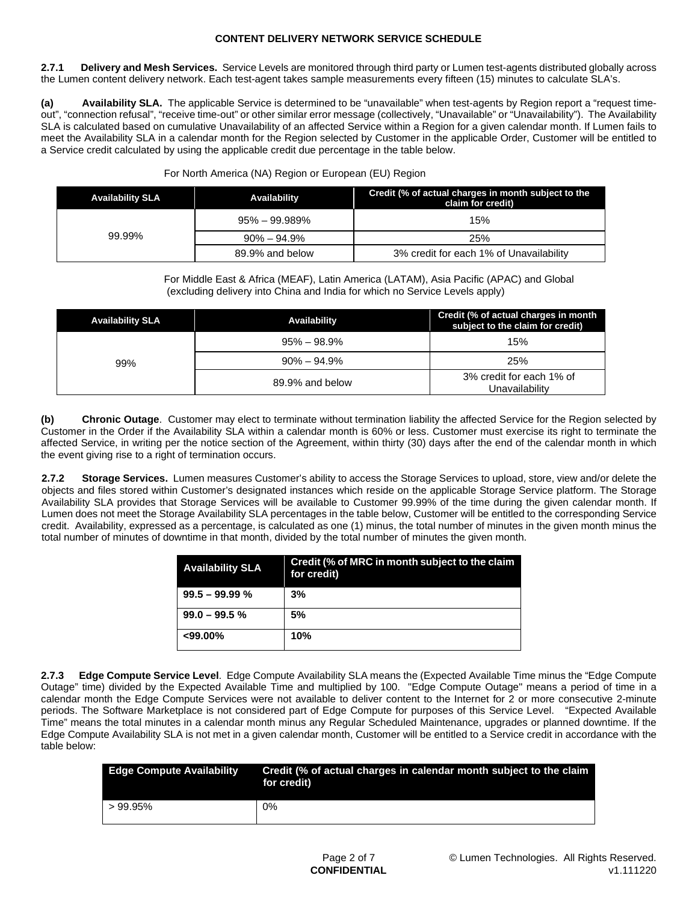**2.7.1 Delivery and Mesh Services.** Service Levels are monitored through third party or Lumen test-agents distributed globally across the Lumen content delivery network. Each test-agent takes sample measurements every fifteen (15) minutes to calculate SLA's.

**(a) Availability SLA.** The applicable Service is determined to be "unavailable" when test-agents by Region report a "request timeout", "connection refusal", "receive time-out" or other similar error message (collectively, "Unavailable" or "Unavailability"). The Availability SLA is calculated based on cumulative Unavailability of an affected Service within a Region for a given calendar month. If Lumen fails to meet the Availability SLA in a calendar month for the Region selected by Customer in the applicable Order, Customer will be entitled to a Service credit calculated by using the applicable credit due percentage in the table below.

| <b>Availability SLA</b> | Availability      | Credit (% of actual charges in month subject to the<br>claim for credit) |
|-------------------------|-------------------|--------------------------------------------------------------------------|
| 99.99%                  | $95\% - 99.989\%$ | 15%                                                                      |
|                         | $90\% - 94.9\%$   | 25%                                                                      |
|                         | 89.9% and below   | 3% credit for each 1% of Unavailability                                  |

#### For North America (NA) Region or European (EU) Region

For Middle East & Africa (MEAF), Latin America (LATAM), Asia Pacific (APAC) and Global (excluding delivery into China and India for which no Service Levels apply)

| <b>Availability SLA</b> | <b>Availability</b> | Credit (% of actual charges in month<br>subject to the claim for credit) |
|-------------------------|---------------------|--------------------------------------------------------------------------|
| 99%                     | $95\% - 98.9\%$     | 15%                                                                      |
|                         | $90\% - 94.9\%$     | 25%                                                                      |
|                         | 89.9% and below     | 3% credit for each 1% of<br>Unavailability                               |

**(b) Chronic Outage**. Customer may elect to terminate without termination liability the affected Service for the Region selected by Customer in the Order if the Availability SLA within a calendar month is 60% or less. Customer must exercise its right to terminate the affected Service, in writing per the notice section of the Agreement, within thirty (30) days after the end of the calendar month in which the event giving rise to a right of termination occurs.

**2.7.2 Storage Services.** Lumen measures Customer's ability to access the Storage Services to upload, store, view and/or delete the objects and files stored within Customer's designated instances which reside on the applicable Storage Service platform. The Storage Availability SLA provides that Storage Services will be available to Customer 99.99% of the time during the given calendar month. If Lumen does not meet the Storage Availability SLA percentages in the table below, Customer will be entitled to the corresponding Service credit. Availability, expressed as a percentage, is calculated as one (1) minus, the total number of minutes in the given month minus the total number of minutes of downtime in that month, divided by the total number of minutes the given month.

| <b>Availability SLA</b> | Credit (% of MRC in month subject to the claim<br>for credit) |
|-------------------------|---------------------------------------------------------------|
| $99.5 - 99.99 %$        | 3%                                                            |
| $99.0 - 99.5$ %         | 5%                                                            |
| $<99.00\%$              | 10%                                                           |

**2.7.3 Edge Compute Service Level**. Edge Compute Availability SLA means the (Expected Available Time minus the "Edge Compute Outage" time) divided by the Expected Available Time and multiplied by 100. "Edge Compute Outage" means a period of time in a calendar month the Edge Compute Services were not available to deliver content to the Internet for 2 or more consecutive 2-minute periods. The Software Marketplace is not considered part of Edge Compute for purposes of this Service Level. "Expected Available Time" means the total minutes in a calendar month minus any Regular Scheduled Maintenance, upgrades or planned downtime. If the Edge Compute Availability SLA is not met in a given calendar month, Customer will be entitled to a Service credit in accordance with the table below:

| <b>Edge Compute Availability</b> | Credit (% of actual charges in calendar month subject to the claim<br>for credit) |
|----------------------------------|-----------------------------------------------------------------------------------|
| $>99.95\%$                       | 0%                                                                                |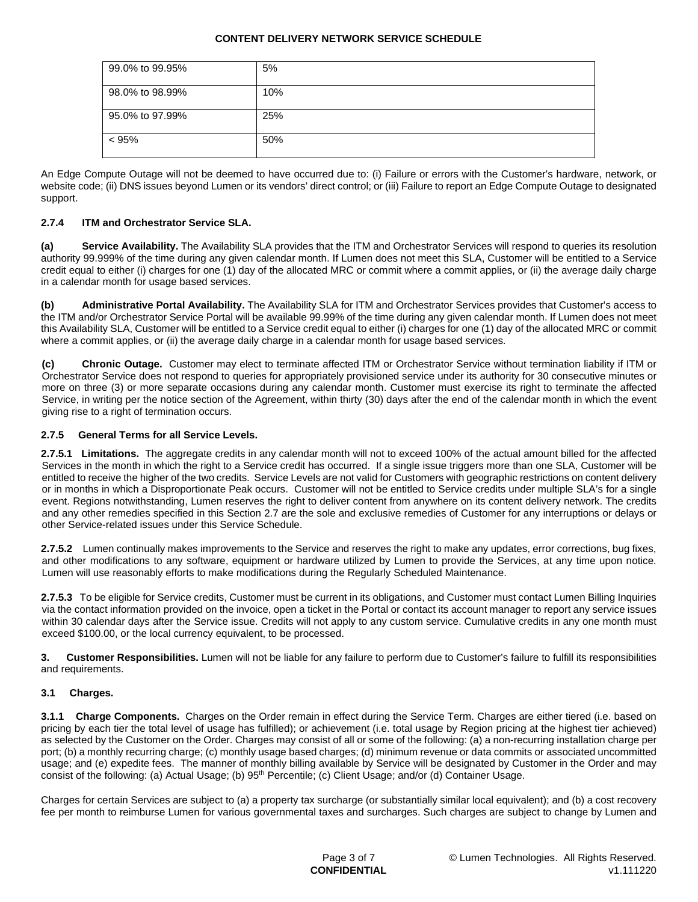| 99.0% to 99.95% | 5%  |
|-----------------|-----|
| 98.0% to 98.99% | 10% |
| 95.0% to 97.99% | 25% |
| < 95%           | 50% |

An Edge Compute Outage will not be deemed to have occurred due to: (i) Failure or errors with the Customer's hardware, network, or website code; (ii) DNS issues beyond Lumen or its vendors' direct control; or (iii) Failure to report an Edge Compute Outage to designated support.

# **2.7.4 ITM and Orchestrator Service SLA.**

**(a) Service Availability.** The Availability SLA provides that the ITM and Orchestrator Services will respond to queries its resolution authority 99.999% of the time during any given calendar month. If Lumen does not meet this SLA, Customer will be entitled to a Service credit equal to either (i) charges for one (1) day of the allocated MRC or commit where a commit applies, or (ii) the average daily charge in a calendar month for usage based services.

**(b) Administrative Portal Availability.** The Availability SLA for ITM and Orchestrator Services provides that Customer's access to the ITM and/or Orchestrator Service Portal will be available 99.99% of the time during any given calendar month. If Lumen does not meet this Availability SLA, Customer will be entitled to a Service credit equal to either (i) charges for one (1) day of the allocated MRC or commit where a commit applies, or (ii) the average daily charge in a calendar month for usage based services.

**(c) Chronic Outage.** Customer may elect to terminate affected ITM or Orchestrator Service without termination liability if ITM or Orchestrator Service does not respond to queries for appropriately provisioned service under its authority for 30 consecutive minutes or more on three (3) or more separate occasions during any calendar month. Customer must exercise its right to terminate the affected Service, in writing per the notice section of the Agreement, within thirty (30) days after the end of the calendar month in which the event giving rise to a right of termination occurs.

### **2.7.5 General Terms for all Service Levels.**

**2.7.5.1 Limitations.** The aggregate credits in any calendar month will not to exceed 100% of the actual amount billed for the affected Services in the month in which the right to a Service credit has occurred. If a single issue triggers more than one SLA, Customer will be entitled to receive the higher of the two credits. Service Levels are not valid for Customers with geographic restrictions on content delivery or in months in which a Disproportionate Peak occurs. Customer will not be entitled to Service credits under multiple SLA's for a single event. Regions notwithstanding, Lumen reserves the right to deliver content from anywhere on its content delivery network. The credits and any other remedies specified in this Section 2.7 are the sole and exclusive remedies of Customer for any interruptions or delays or other Service-related issues under this Service Schedule.

**2.7.5.2** Lumen continually makes improvements to the Service and reserves the right to make any updates, error corrections, bug fixes, and other modifications to any software, equipment or hardware utilized by Lumen to provide the Services, at any time upon notice. Lumen will use reasonably efforts to make modifications during the Regularly Scheduled Maintenance.

**2.7.5.3** To be eligible for Service credits, Customer must be current in its obligations, and Customer must contact Lumen Billing Inquiries via the contact information provided on the invoice, open a ticket in the Portal or contact its account manager to report any service issues within 30 calendar days after the Service issue. Credits will not apply to any custom service. Cumulative credits in any one month must exceed \$100.00, or the local currency equivalent, to be processed.

**3. Customer Responsibilities.** Lumen will not be liable for any failure to perform due to Customer's failure to fulfill its responsibilities and requirements.

### **3.1 Charges.**

**3.1.1 Charge Components.** Charges on the Order remain in effect during the Service Term. Charges are either tiered (i.e. based on pricing by each tier the total level of usage has fulfilled); or achievement (i.e. total usage by Region pricing at the highest tier achieved) as selected by the Customer on the Order. Charges may consist of all or some of the following: (a) a non-recurring installation charge per port; (b) a monthly recurring charge; (c) monthly usage based charges; (d) minimum revenue or data commits or associated uncommitted usage; and (e) expedite fees. The manner of monthly billing available by Service will be designated by Customer in the Order and may consist of the following: (a) Actual Usage; (b) 95th Percentile; (c) Client Usage; and/or (d) Container Usage.

Charges for certain Services are subject to (a) a property tax surcharge (or substantially similar local equivalent); and (b) a cost recovery fee per month to reimburse Lumen for various governmental taxes and surcharges. Such charges are subject to change by Lumen and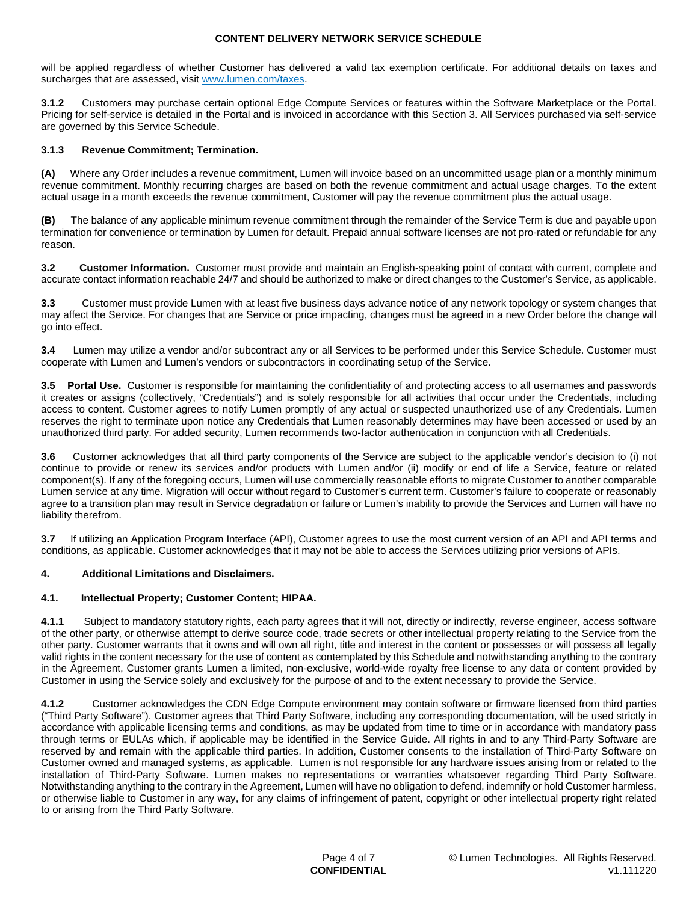will be applied regardless of whether Customer has delivered a valid tax exemption certificate. For additional details on taxes and surcharges that are assessed, visit [www.lumen.com/taxes](http://www.lumen.com/taxes).

**3.1.2** Customers may purchase certain optional Edge Compute Services or features within the Software Marketplace or the Portal. Pricing for self-service is detailed in the Portal and is invoiced in accordance with this Section 3. All Services purchased via self-service are governed by this Service Schedule.

### **3.1.3 Revenue Commitment; Termination.**

**(A)** Where any Order includes a revenue commitment, Lumen will invoice based on an uncommitted usage plan or a monthly minimum revenue commitment. Monthly recurring charges are based on both the revenue commitment and actual usage charges. To the extent actual usage in a month exceeds the revenue commitment, Customer will pay the revenue commitment plus the actual usage.

**(B)** The balance of any applicable minimum revenue commitment through the remainder of the Service Term is due and payable upon termination for convenience or termination by Lumen for default. Prepaid annual software licenses are not pro-rated or refundable for any reason.

**3.2 Customer Information.** Customer must provide and maintain an English-speaking point of contact with current, complete and accurate contact information reachable 24/7 and should be authorized to make or direct changes to the Customer's Service, as applicable.

**3.3** Customer must provide Lumen with at least five business days advance notice of any network topology or system changes that may affect the Service. For changes that are Service or price impacting, changes must be agreed in a new Order before the change will go into effect.

**3.4** Lumen may utilize a vendor and/or subcontract any or all Services to be performed under this Service Schedule. Customer must cooperate with Lumen and Lumen's vendors or subcontractors in coordinating setup of the Service.

**3.5 Portal Use.** Customer is responsible for maintaining the confidentiality of and protecting access to all usernames and passwords it creates or assigns (collectively, "Credentials") and is solely responsible for all activities that occur under the Credentials, including access to content. Customer agrees to notify Lumen promptly of any actual or suspected unauthorized use of any Credentials. Lumen reserves the right to terminate upon notice any Credentials that Lumen reasonably determines may have been accessed or used by an unauthorized third party. For added security, Lumen recommends two-factor authentication in conjunction with all Credentials.

**3.6** Customer acknowledges that all third party components of the Service are subject to the applicable vendor's decision to (i) not continue to provide or renew its services and/or products with Lumen and/or (ii) modify or end of life a Service, feature or related component(s). If any of the foregoing occurs, Lumen will use commercially reasonable efforts to migrate Customer to another comparable Lumen service at any time. Migration will occur without regard to Customer's current term. Customer's failure to cooperate or reasonably agree to a transition plan may result in Service degradation or failure or Lumen's inability to provide the Services and Lumen will have no liability therefrom.

**3.7** If utilizing an Application Program Interface (API), Customer agrees to use the most current version of an API and API terms and conditions, as applicable. Customer acknowledges that it may not be able to access the Services utilizing prior versions of APIs.

### **4. Additional Limitations and Disclaimers.**

### **4.1. Intellectual Property; Customer Content; HIPAA.**

**4.1.1** Subject to mandatory statutory rights, each party agrees that it will not, directly or indirectly, reverse engineer, access software of the other party, or otherwise attempt to derive source code, trade secrets or other intellectual property relating to the Service from the other party. Customer warrants that it owns and will own all right, title and interest in the content or possesses or will possess all legally valid rights in the content necessary for the use of content as contemplated by this Schedule and notwithstanding anything to the contrary in the Agreement, Customer grants Lumen a limited, non-exclusive, world-wide royalty free license to any data or content provided by Customer in using the Service solely and exclusively for the purpose of and to the extent necessary to provide the Service.

**4.1.2** Customer acknowledges the CDN Edge Compute environment may contain software or firmware licensed from third parties ("Third Party Software"). Customer agrees that Third Party Software, including any corresponding documentation, will be used strictly in accordance with applicable licensing terms and conditions, as may be updated from time to time or in accordance with mandatory pass through terms or EULAs which, if applicable may be identified in the Service Guide. All rights in and to any Third-Party Software are reserved by and remain with the applicable third parties. In addition, Customer consents to the installation of Third-Party Software on Customer owned and managed systems, as applicable. Lumen is not responsible for any hardware issues arising from or related to the installation of Third-Party Software. Lumen makes no representations or warranties whatsoever regarding Third Party Software. Notwithstanding anything to the contrary in the Agreement, Lumen will have no obligation to defend, indemnify or hold Customer harmless, or otherwise liable to Customer in any way, for any claims of infringement of patent, copyright or other intellectual property right related to or arising from the Third Party Software.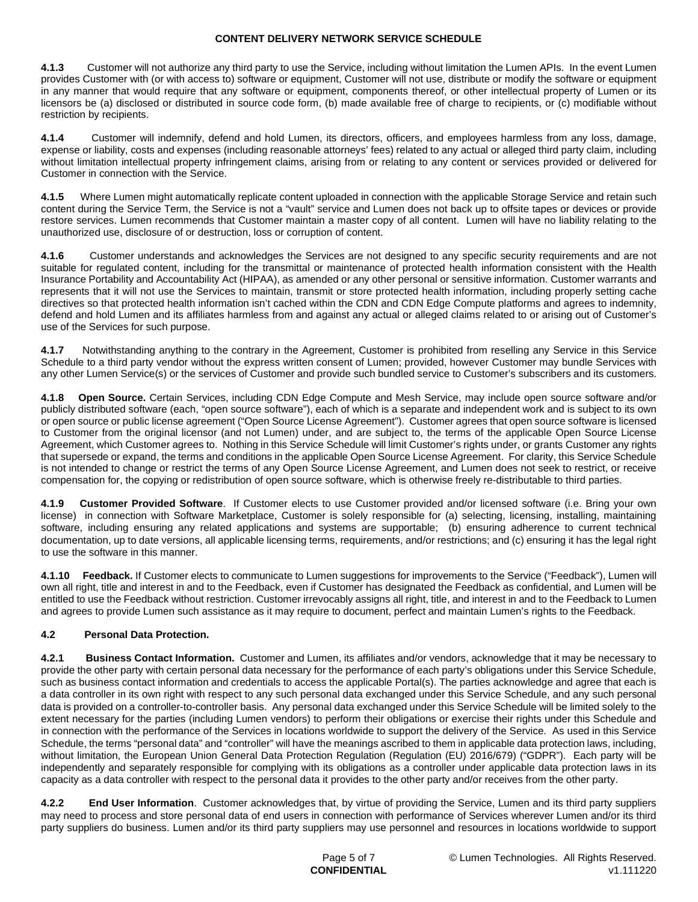**4.1.3** Customer will not authorize any third party to use the Service, including without limitation the Lumen APIs. In the event Lumen provides Customer with (or with access to) software or equipment, Customer will not use, distribute or modify the software or equipment in any manner that would require that any software or equipment, components thereof, or other intellectual property of Lumen or its licensors be (a) disclosed or distributed in source code form, (b) made available free of charge to recipients, or (c) modifiable without restriction by recipients.

**4.1.4** Customer will indemnify, defend and hold Lumen, its directors, officers, and employees harmless from any loss, damage, expense or liability, costs and expenses (including reasonable attorneys' fees) related to any actual or alleged third party claim, including without limitation intellectual property infringement claims, arising from or relating to any content or services provided or delivered for Customer in connection with the Service.

**4.1.5** Where Lumen might automatically replicate content uploaded in connection with the applicable Storage Service and retain such content during the Service Term, the Service is not a "vault" service and Lumen does not back up to offsite tapes or devices or provide restore services. Lumen recommends that Customer maintain a master copy of all content. Lumen will have no liability relating to the unauthorized use, disclosure of or destruction, loss or corruption of content.

**4.1.6** Customer understands and acknowledges the Services are not designed to any specific security requirements and are not suitable for regulated content, including for the transmittal or maintenance of protected health information consistent with the Health Insurance Portability and Accountability Act (HIPAA), as amended or any other personal or sensitive information. Customer warrants and represents that it will not use the Services to maintain, transmit or store protected health information, including properly setting cache directives so that protected health information isn't cached within the CDN and CDN Edge Compute platforms and agrees to indemnity, defend and hold Lumen and its affiliates harmless from and against any actual or alleged claims related to or arising out of Customer's use of the Services for such purpose.

**4.1.7** Notwithstanding anything to the contrary in the Agreement, Customer is prohibited from reselling any Service in this Service Schedule to a third party vendor without the express written consent of Lumen; provided, however Customer may bundle Services with any other Lumen Service(s) or the services of Customer and provide such bundled service to Customer's subscribers and its customers.

**4.1.8 Open Source.** Certain Services, including CDN Edge Compute and Mesh Service, may include open source software and/or publicly distributed software (each, "open source software"), each of which is a separate and independent work and is subject to its own or open source or public license agreement ("Open Source License Agreement"). Customer agrees that open source software is licensed to Customer from the original licensor (and not Lumen) under, and are subject to, the terms of the applicable Open Source License Agreement, which Customer agrees to. Nothing in this Service Schedule will limit Customer's rights under, or grants Customer any rights that supersede or expand, the terms and conditions in the applicable Open Source License Agreement. For clarity, this Service Schedule is not intended to change or restrict the terms of any Open Source License Agreement, and Lumen does not seek to restrict, or receive compensation for, the copying or redistribution of open source software, which is otherwise freely re-distributable to third parties.

**4.1.9 Customer Provided Software**. If Customer elects to use Customer provided and/or licensed software (i.e. Bring your own license) in connection with Software Marketplace, Customer is solely responsible for (a) selecting, licensing, installing, maintaining software, including ensuring any related applications and systems are supportable; (b) ensuring adherence to current technical documentation, up to date versions, all applicable licensing terms, requirements, and/or restrictions; and (c) ensuring it has the legal right to use the software in this manner.

**4.1.10 Feedback.** If Customer elects to communicate to Lumen suggestions for improvements to the Service ("Feedback"), Lumen will own all right, title and interest in and to the Feedback, even if Customer has designated the Feedback as confidential, and Lumen will be entitled to use the Feedback without restriction. Customer irrevocably assigns all right, title, and interest in and to the Feedback to Lumen and agrees to provide Lumen such assistance as it may require to document, perfect and maintain Lumen's rights to the Feedback.

# **4.2 Personal Data Protection.**

**4.2.1 Business Contact Information.** Customer and Lumen, its affiliates and/or vendors, acknowledge that it may be necessary to provide the other party with certain personal data necessary for the performance of each party's obligations under this Service Schedule, such as business contact information and credentials to access the applicable Portal(s). The parties acknowledge and agree that each is a data controller in its own right with respect to any such personal data exchanged under this Service Schedule, and any such personal data is provided on a controller-to-controller basis. Any personal data exchanged under this Service Schedule will be limited solely to the extent necessary for the parties (including Lumen vendors) to perform their obligations or exercise their rights under this Schedule and in connection with the performance of the Services in locations worldwide to support the delivery of the Service. As used in this Service Schedule, the terms "personal data" and "controller" will have the meanings ascribed to them in applicable data protection laws, including, without limitation, the European Union General Data Protection Regulation (Regulation (EU) 2016/679) ("GDPR"). Each party will be independently and separately responsible for complying with its obligations as a controller under applicable data protection laws in its capacity as a data controller with respect to the personal data it provides to the other party and/or receives from the other party.

**4.2.2 End User Information**. Customer acknowledges that, by virtue of providing the Service, Lumen and its third party suppliers may need to process and store personal data of end users in connection with performance of Services wherever Lumen and/or its third party suppliers do business. Lumen and/or its third party suppliers may use personnel and resources in locations worldwide to support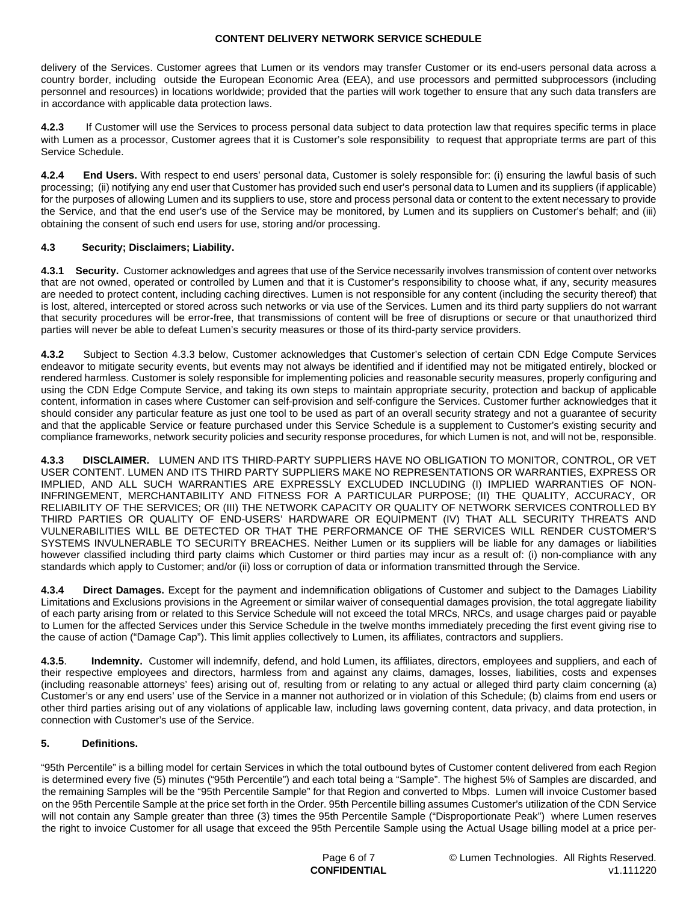delivery of the Services. Customer agrees that Lumen or its vendors may transfer Customer or its end-users personal data across a country border, including outside the European Economic Area (EEA), and use processors and permitted subprocessors (including personnel and resources) in locations worldwide; provided that the parties will work together to ensure that any such data transfers are in accordance with applicable data protection laws.

**4.2.3** If Customer will use the Services to process personal data subject to data protection law that requires specific terms in place with Lumen as a processor, Customer agrees that it is Customer's sole responsibility to request that appropriate terms are part of this Service Schedule.

**4.2.4 End Users.** With respect to end users' personal data, Customer is solely responsible for: (i) ensuring the lawful basis of such processing; (ii) notifying any end user that Customer has provided such end user's personal data to Lumen and its suppliers (if applicable) for the purposes of allowing Lumen and its suppliers to use, store and process personal data or content to the extent necessary to provide the Service, and that the end user's use of the Service may be monitored, by Lumen and its suppliers on Customer's behalf; and (iii) obtaining the consent of such end users for use, storing and/or processing.

# **4.3 Security; Disclaimers; Liability.**

**4.3.1 Security.** Customer acknowledges and agrees that use of the Service necessarily involves transmission of content over networks that are not owned, operated or controlled by Lumen and that it is Customer's responsibility to choose what, if any, security measures are needed to protect content, including caching directives. Lumen is not responsible for any content (including the security thereof) that is lost, altered, intercepted or stored across such networks or via use of the Services. Lumen and its third party suppliers do not warrant that security procedures will be error-free, that transmissions of content will be free of disruptions or secure or that unauthorized third parties will never be able to defeat Lumen's security measures or those of its third-party service providers.

**4.3.2** Subject to Section 4.3.3 below, Customer acknowledges that Customer's selection of certain CDN Edge Compute Services endeavor to mitigate security events, but events may not always be identified and if identified may not be mitigated entirely, blocked or rendered harmless. Customer is solely responsible for implementing policies and reasonable security measures, properly configuring and using the CDN Edge Compute Service, and taking its own steps to maintain appropriate security, protection and backup of applicable content, information in cases where Customer can self-provision and self-configure the Services. Customer further acknowledges that it should consider any particular feature as just one tool to be used as part of an overall security strategy and not a guarantee of security and that the applicable Service or feature purchased under this Service Schedule is a supplement to Customer's existing security and compliance frameworks, network security policies and security response procedures, for which Lumen is not, and will not be, responsible.

**4.3.3 DISCLAIMER.** LUMEN AND ITS THIRD-PARTY SUPPLIERS HAVE NO OBLIGATION TO MONITOR, CONTROL, OR VET USER CONTENT. LUMEN AND ITS THIRD PARTY SUPPLIERS MAKE NO REPRESENTATIONS OR WARRANTIES, EXPRESS OR IMPLIED, AND ALL SUCH WARRANTIES ARE EXPRESSLY EXCLUDED INCLUDING (I) IMPLIED WARRANTIES OF NON-INFRINGEMENT, MERCHANTABILITY AND FITNESS FOR A PARTICULAR PURPOSE; (II) THE QUALITY, ACCURACY, OR RELIABILITY OF THE SERVICES; OR (III) THE NETWORK CAPACITY OR QUALITY OF NETWORK SERVICES CONTROLLED BY THIRD PARTIES OR QUALITY OF END-USERS' HARDWARE OR EQUIPMENT (IV) THAT ALL SECURITY THREATS AND VULNERABILITIES WILL BE DETECTED OR THAT THE PERFORMANCE OF THE SERVICES WILL RENDER CUSTOMER'S SYSTEMS INVULNERABLE TO SECURITY BREACHES. Neither Lumen or its suppliers will be liable for any damages or liabilities however classified including third party claims which Customer or third parties may incur as a result of: (i) non-compliance with any standards which apply to Customer; and/or (ii) loss or corruption of data or information transmitted through the Service.

**4.3.4 Direct Damages.** Except for the payment and indemnification obligations of Customer and subject to the Damages Liability Limitations and Exclusions provisions in the Agreement or similar waiver of consequential damages provision, the total aggregate liability of each party arising from or related to this Service Schedule will not exceed the total MRCs, NRCs, and usage charges paid or payable to Lumen for the affected Services under this Service Schedule in the twelve months immediately preceding the first event giving rise to the cause of action ("Damage Cap"). This limit applies collectively to Lumen, its affiliates, contractors and suppliers.

**4.3.5**. **Indemnity.** Customer will indemnify, defend, and hold Lumen, its affiliates, directors, employees and suppliers, and each of their respective employees and directors, harmless from and against any claims, damages, losses, liabilities, costs and expenses (including reasonable attorneys' fees) arising out of, resulting from or relating to any actual or alleged third party claim concerning (a) Customer's or any end users' use of the Service in a manner not authorized or in violation of this Schedule; (b) claims from end users or other third parties arising out of any violations of applicable law, including laws governing content, data privacy, and data protection, in connection with Customer's use of the Service.

### **5. Definitions.**

"95th Percentile" is a billing model for certain Services in which the total outbound bytes of Customer content delivered from each Region is determined every five (5) minutes ("95th Percentile") and each total being a "Sample". The highest 5% of Samples are discarded, and the remaining Samples will be the "95th Percentile Sample" for that Region and converted to Mbps. Lumen will invoice Customer based on the 95th Percentile Sample at the price set forth in the Order. 95th Percentile billing assumes Customer's utilization of the CDN Service will not contain any Sample greater than three (3) times the 95th Percentile Sample ("Disproportionate Peak") where Lumen reserves the right to invoice Customer for all usage that exceed the 95th Percentile Sample using the Actual Usage billing model at a price per-